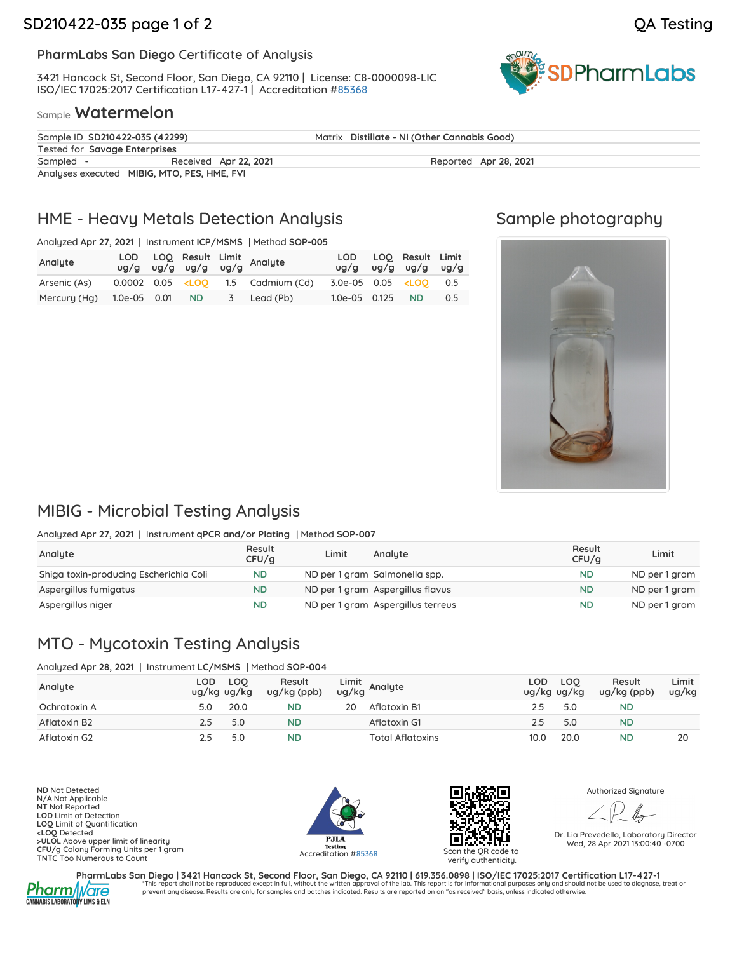**SDPharmLabs** 

### **PharmLabs San Diego** Certificate of Analysis

3421 Hancock St, Second Floor, San Diego, CA 92110 | License: C8-0000098-LIC ISO/IEC 17025:2017 Certification L17-427-1 | Accreditation [#85368](https://www.dropbox.com/s/1a5w6sneiswem52/L20-89-1%20PharmLabs%20San%20Diego.pdf?dl=0)

### Sample **Watermelon**

|           | Sample ID SD210422-035 (42299)              | Matrix Distillate - NI (Other Cannabis Good) |
|-----------|---------------------------------------------|----------------------------------------------|
|           | Tested for Savage Enterprises               |                                              |
| Sampled - | Received Apr 22, 2021                       | Reported Apr 28, 2021                        |
|           | Analyses executed MIBIG, MTO, PES, HME, FVI |                                              |

## HME - Heavy Metals Detection Analysis

Analyzed **Apr 27, 2021** | Instrument **ICP/MSMS** | Method **SOP-005**

| Analyte                                  |  |  | LOD LOQ Result Limit<br>ug/g ug/g ug/g ug/g Analyte                                                                   |                      | LOD LOO Result Limit<br>ug/g ug/g ug/g ug/g |  |
|------------------------------------------|--|--|-----------------------------------------------------------------------------------------------------------------------|----------------------|---------------------------------------------|--|
| Arsenic (As)                             |  |  | 0.0002 0.05 <loo (cd)="" 0.05="" 0.5<="" 1.5="" 3.0e-05="" <loo="" cadmium="" td=""><td></td><td></td><td></td></loo> |                      |                                             |  |
| Mercury (Hg) 1.0e-05 0.01 ND 3 Lead (Pb) |  |  |                                                                                                                       | 1.0e-05 0.125 ND 0.5 |                                             |  |

# Sample photography



# MIBIG - Microbial Testing Analysis

Analyzed **Apr 27, 2021** | Instrument **qPCR and/or Plating** | Method **SOP-007**

| Analyte                                | Result<br>CFU/q | Limit | Analyte                           | Result<br>CFU/q | Limit         |
|----------------------------------------|-----------------|-------|-----------------------------------|-----------------|---------------|
| Shiga toxin-producing Escherichia Coli | <b>ND</b>       |       | ND per 1 gram Salmonella spp.     | <b>ND</b>       | ND per 1 gram |
| Aspergillus fumigatus                  | <b>ND</b>       |       | ND per 1 gram Aspergillus flavus  | <b>ND</b>       | ND per 1 gram |
| Aspergillus niger                      | <b>ND</b>       |       | ND per 1 gram Aspergillus terreus | <b>ND</b>       | ND per 1 gram |

# MTO - Mycotoxin Testing Analysis

Analyzed **Apr 28, 2021** | Instrument **LC/MSMS** | Method **SOP-004**

| Analyte      | LOD<br>ug/kg ug/kg | LOO  | Result<br>$\log/kg$ (ppb) |    | Limit<br>ug/kg Analyte | LOD<br>ug/kg ug/kg | <b>LOO</b> | Result<br>ug/kg (ppb) | Limit<br>ug/kg |
|--------------|--------------------|------|---------------------------|----|------------------------|--------------------|------------|-----------------------|----------------|
| Ochratoxin A |                    | 20.0 | ND                        | 20 | Aflatoxin B1           | 2.5                | 5.0        | <b>ND</b>             |                |
| Aflatoxin B2 |                    | 5.0  | <b>ND</b>                 |    | Aflatoxin G1           | 2.5                | 5.0        | <b>ND</b>             |                |
| Aflatoxin G2 |                    | 5.0  | ND                        |    | Total Aflatoxins       | 10.0               | 20.0       | <b>ND</b>             | 20             |

**ND** Not Detected **N/A** Not Applicable **NT** Not Reported **LOD** Limit of Detection **LOQ** Limit of Quantification **<LOQ** Detected **>ULOL** Above upper limit of linearity **CFU/g** Colony Forming Units per 1 gram **TNTC** Too Numerous to Count





verify authenticity.

Authorized Signature

Dr. Lia Prevedello, Laboratory Director Wed, 28 Apr 2021 13:00:40 -0700



PharmLabs San Diego | 3421 Hancock St, Second Floor, San Diego, CA 92110 | 619.356.0898 | ISO/IEC 17025:2017 Certification L17-427-1 \*This report shall not be reproduced except in full, without the written approval of the lab. This report is for informational purposes only and should not be used to diagnose, treat or prevent any disease. Results are only for samples and batches indicated. Results are reported on an "as received" basis, unless indicated otherwise.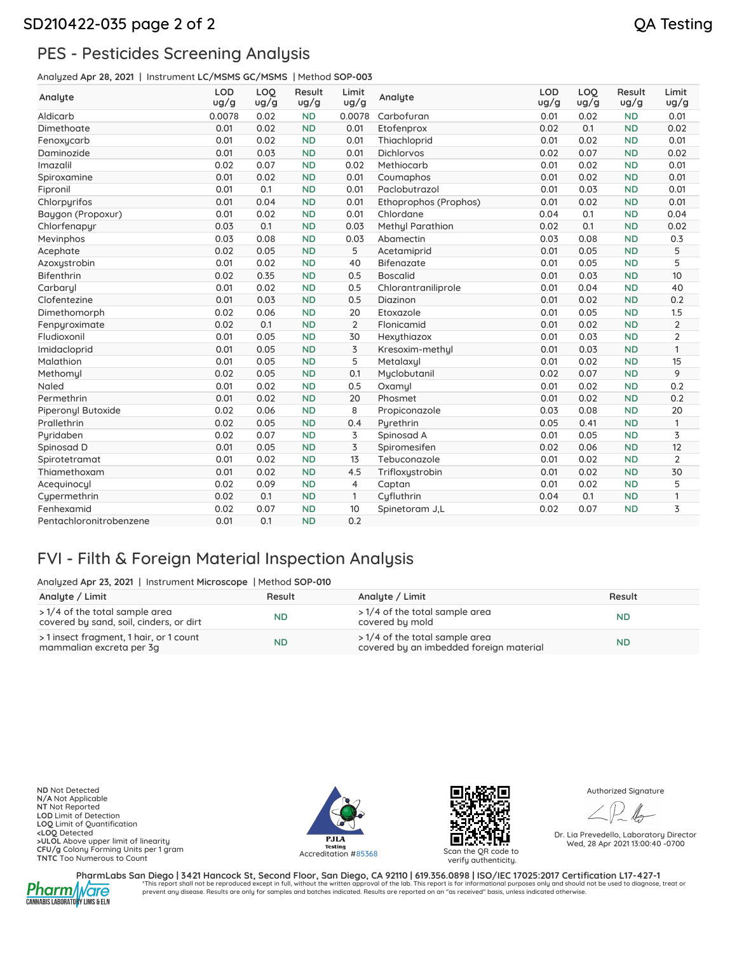## SD210422-035 page 2 of 2 QA Testing

# PES - Pesticides Screening Analysis

Analyzed **Apr 28, 2021** | Instrument **LC/MSMS GC/MSMS** | Method **SOP-003**

| Analyte                 | <b>LOD</b><br>ug/g | LOQ<br>ug/g | Result<br>ug/g | Limit<br>ug/g  | Analyte                 | <b>LOD</b><br>ug/g | LOO<br>ug/g | Result<br>ug/g | Limit<br>ug/g  |
|-------------------------|--------------------|-------------|----------------|----------------|-------------------------|--------------------|-------------|----------------|----------------|
| Aldicarb                | 0.0078             | 0.02        | <b>ND</b>      | 0.0078         | Carbofuran              | 0.01               | 0.02        | <b>ND</b>      | 0.01           |
| Dimethoate              | 0.01               | 0.02        | <b>ND</b>      | 0.01           | Etofenprox              | 0.02               | 0.1         | <b>ND</b>      | 0.02           |
| Fenoxycarb              | 0.01               | 0.02        | <b>ND</b>      | 0.01           | Thiachloprid            | 0.01               | 0.02        | <b>ND</b>      | 0.01           |
| Daminozide              | 0.01               | 0.03        | <b>ND</b>      | 0.01           | <b>Dichlorvos</b>       | 0.02               | 0.07        | <b>ND</b>      | 0.02           |
| Imazalil                | 0.02               | 0.07        | <b>ND</b>      | 0.02           | Methiocarb              | 0.01               | 0.02        | <b>ND</b>      | 0.01           |
| Spiroxamine             | 0.01               | 0.02        | <b>ND</b>      | 0.01           | Coumaphos               | 0.01               | 0.02        | <b>ND</b>      | 0.01           |
| Fipronil                | 0.01               | 0.1         | <b>ND</b>      | 0.01           | Paclobutrazol           | 0.01               | 0.03        | <b>ND</b>      | 0.01           |
| Chlorpyrifos            | 0.01               | 0.04        | <b>ND</b>      | 0.01           | Ethoprophos (Prophos)   | 0.01               | 0.02        | <b>ND</b>      | 0.01           |
| Baygon (Propoxur)       | 0.01               | 0.02        | <b>ND</b>      | 0.01           | Chlordane               | 0.04               | 0.1         | <b>ND</b>      | 0.04           |
| Chlorfenapyr            | 0.03               | 0.1         | <b>ND</b>      | 0.03           | <b>Methyl Parathion</b> | 0.02               | 0.1         | <b>ND</b>      | 0.02           |
| Mevinphos               | 0.03               | 0.08        | <b>ND</b>      | 0.03           | Abamectin               | 0.03               | 0.08        | <b>ND</b>      | 0.3            |
| Acephate                | 0.02               | 0.05        | <b>ND</b>      | 5              | Acetamiprid             | 0.01               | 0.05        | <b>ND</b>      | 5              |
| Azoxustrobin            | 0.01               | 0.02        | <b>ND</b>      | 40             | <b>Bifenazate</b>       | 0.01               | 0.05        | <b>ND</b>      | 5              |
| Bifenthrin              | 0.02               | 0.35        | <b>ND</b>      | 0.5            | <b>Boscalid</b>         | 0.01               | 0.03        | <b>ND</b>      | 10             |
| Carbaryl                | 0.01               | 0.02        | <b>ND</b>      | 0.5            | Chlorantraniliprole     | 0.01               | 0.04        | <b>ND</b>      | 40             |
| Clofentezine            | 0.01               | 0.03        | <b>ND</b>      | 0.5            | Diazinon                | 0.01               | 0.02        | <b>ND</b>      | 0.2            |
| Dimethomorph            | 0.02               | 0.06        | <b>ND</b>      | 20             | Etoxazole               | 0.01               | 0.05        | <b>ND</b>      | 1.5            |
| Fenpyroximate           | 0.02               | 0.1         | <b>ND</b>      | $\overline{2}$ | Flonicamid              | 0.01               | 0.02        | <b>ND</b>      | $\overline{2}$ |
| Fludioxonil             | 0.01               | 0.05        | <b>ND</b>      | 30             | Hexythiazox             | 0.01               | 0.03        | <b>ND</b>      | $\overline{2}$ |
| Imidacloprid            | 0.01               | 0.05        | <b>ND</b>      | 3              | Kresoxim-methul         | 0.01               | 0.03        | <b>ND</b>      | 1              |
| Malathion               | 0.01               | 0.05        | <b>ND</b>      | 5              | Metalaxyl               | 0.01               | 0.02        | <b>ND</b>      | 15             |
| Methomyl                | 0.02               | 0.05        | <b>ND</b>      | 0.1            | Myclobutanil            | 0.02               | 0.07        | <b>ND</b>      | 9              |
| Naled                   | 0.01               | 0.02        | <b>ND</b>      | 0.5            | Oxamyl                  | 0.01               | 0.02        | <b>ND</b>      | 0.2            |
| Permethrin              | 0.01               | 0.02        | <b>ND</b>      | 20             | Phosmet                 | 0.01               | 0.02        | <b>ND</b>      | 0.2            |
| Piperonyl Butoxide      | 0.02               | 0.06        | <b>ND</b>      | 8              | Propiconazole           | 0.03               | 0.08        | <b>ND</b>      | 20             |
| Prallethrin             | 0.02               | 0.05        | <b>ND</b>      | 0.4            | Pyrethrin               | 0.05               | 0.41        | <b>ND</b>      | 1              |
| Puridaben               | 0.02               | 0.07        | <b>ND</b>      | 3              | Spinosad A              | 0.01               | 0.05        | <b>ND</b>      | 3              |
| Spinosad D              | 0.01               | 0.05        | <b>ND</b>      | 3              | Spiromesifen            | 0.02               | 0.06        | <b>ND</b>      | 12             |
| Spirotetramat           | 0.01               | 0.02        | <b>ND</b>      | 13             | Tebuconazole            | 0.01               | 0.02        | <b>ND</b>      | $\overline{2}$ |
| Thiamethoxam            | 0.01               | 0.02        | <b>ND</b>      | 4.5            | Trifloxystrobin         | 0.01               | 0.02        | <b>ND</b>      | 30             |
| Acequinocyl             | 0.02               | 0.09        | <b>ND</b>      | 4              | Captan                  | 0.01               | 0.02        | <b>ND</b>      | 5              |
| Cypermethrin            | 0.02               | 0.1         | <b>ND</b>      | $\mathbf{1}$   | Cyfluthrin              | 0.04               | 0.1         | <b>ND</b>      | 1              |
| Fenhexamid              | 0.02               | 0.07        | <b>ND</b>      | 10             | Spinetoram J.L          | 0.02               | 0.07        | <b>ND</b>      | 3              |
| Pentachloronitrobenzene | 0.01               | 0.1         | <b>ND</b>      | 0.2            |                         |                    |             |                |                |

# FVI - Filth & Foreign Material Inspection Analysis

### Analyzed **Apr 23, 2021** | Instrument **Microscope** | Method **SOP-010**

| Analyte / Limit                                                          | Result    | Analyte / Limit                                                          | Result    |
|--------------------------------------------------------------------------|-----------|--------------------------------------------------------------------------|-----------|
| >1/4 of the total sample area<br>covered by sand, soil, cinders, or dirt | <b>ND</b> | >1/4 of the total sample area<br>covered by mold                         | <b>ND</b> |
| >1 insect fragment, 1 hair, or 1 count<br>mammalian excreta per 3g       | <b>ND</b> | >1/4 of the total sample area<br>covered by an imbedded foreign material | <b>ND</b> |

**ND** Not Detected **N/A** Not Applicable **NT** Not Reported **LOD** Limit of Detection **LOQ** Limit of Quantification **<LOQ** Detected **>ULOL** Above upper limit of linearity **CFU/g** Colony Forming Units per 1 gram **TNTC** Too Numerous to Count





verify authenticity.

Authorized Signature

Dr. Lia Prevedello, Laboratory Director Wed, 28 Apr 2021 13:00:40 -0700



PharmLabs San Diego | 3421 Hancock St, Second Floor, San Diego, CA 92110 | 619.356.0898 | ISO/IEC 17025:2017 Certification L17-427-1<br>1. A hall this report shall not be reproduced except in full, without the written approva prevent any disease. Results are only for samples and batches indicated. Results are reported on an "as received" basis, unless indicated otherwise.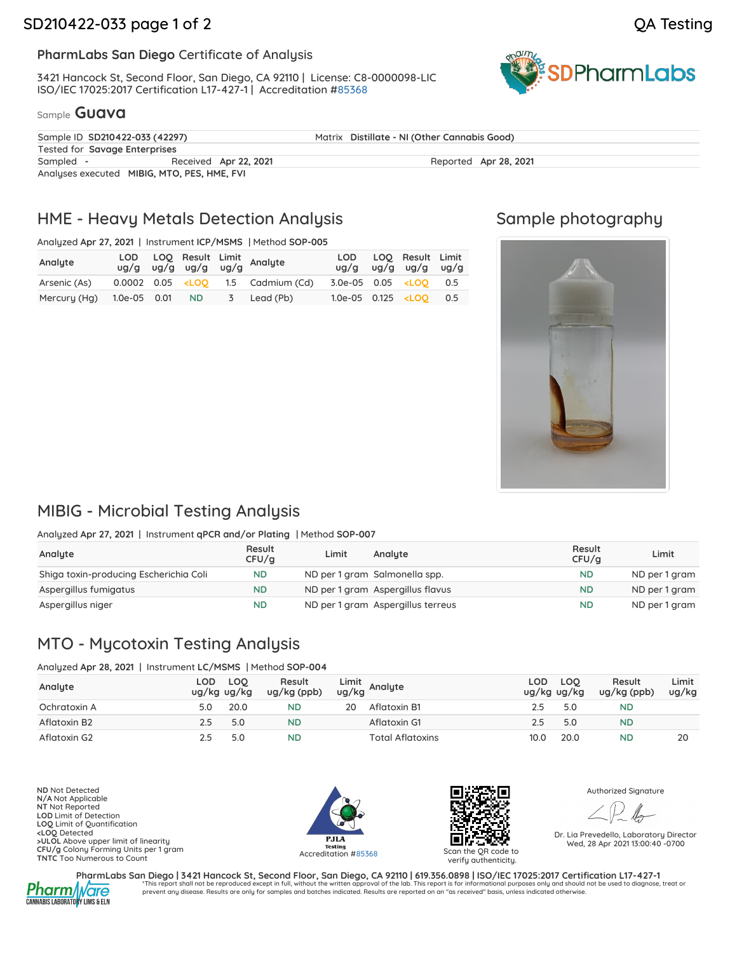**SDPharmLabs** 

### **PharmLabs San Diego** Certificate of Analysis

3421 Hancock St, Second Floor, San Diego, CA 92110 | License: C8-0000098-LIC ISO/IEC 17025:2017 Certification L17-427-1 | Accreditation [#85368](https://www.dropbox.com/s/1a5w6sneiswem52/L20-89-1%20PharmLabs%20San%20Diego.pdf?dl=0)

### Sample **Guava**

| Sample ID SD210422-033 (42297) |                                             | Matrix Distillate - NI (Other Cannabis Good) |  |  |  |  |  |
|--------------------------------|---------------------------------------------|----------------------------------------------|--|--|--|--|--|
| Tested for Savage Enterprises  |                                             |                                              |  |  |  |  |  |
| Sampled -                      | Received Apr 22, 2021                       | Reported Apr 28, 2021                        |  |  |  |  |  |
|                                | Analyses executed MIBIG, MTO, PES, HME, FVI |                                              |  |  |  |  |  |

## HME - Heavy Metals Detection Analysis

Analyzed **Apr 27, 2021** | Instrument **ICP/MSMS** | Method **SOP-005**

| Analyte                                  |  |  | LOD LOQ Result Limit<br>ug/g ug/g ug/g ug/g Analyte                                                                   |                                                           | LOD LOO Result Limit<br>ug/g ug/g ug/g ug/g |  |
|------------------------------------------|--|--|-----------------------------------------------------------------------------------------------------------------------|-----------------------------------------------------------|---------------------------------------------|--|
| Arsenic (As)                             |  |  | 0.0002 0.05 <loo (cd)="" 0.05="" 0.5<="" 1.5="" 3.0e-05="" <loo="" cadmium="" td=""><td></td><td></td><td></td></loo> |                                                           |                                             |  |
| Mercury (Hg) 1.0e-05 0.01 ND 3 Lead (Pb) |  |  |                                                                                                                       | 1.0e-05 0.125 <loo 0.5<="" td=""><td></td><td></td></loo> |                                             |  |

# Sample photography



# MIBIG - Microbial Testing Analysis

Analyzed **Apr 27, 2021** | Instrument **qPCR and/or Plating** | Method **SOP-007**

| Analyte                                | Result<br>CFU/q | Limit | Analyte                           | Result<br>CFU/q | Limit         |
|----------------------------------------|-----------------|-------|-----------------------------------|-----------------|---------------|
| Shiga toxin-producing Escherichia Coli | <b>ND</b>       |       | ND per 1 gram Salmonella spp.     | <b>ND</b>       | ND per 1 gram |
| Aspergillus fumigatus                  | <b>ND</b>       |       | ND per 1 gram Aspergillus flavus  | <b>ND</b>       | ND per 1 gram |
| Aspergillus niger                      | <b>ND</b>       |       | ND per 1 gram Aspergillus terreus | <b>ND</b>       | ND per 1 gram |

## MTO - Mycotoxin Testing Analysis

Analyzed **Apr 28, 2021** | Instrument **LC/MSMS** | Method **SOP-004**

| Analyte      | LOD | LOO<br>ug/kg ug/kg | Result<br>$\log/kg$ (ppb) |    | Limit<br>ug/kg Analyte | LOD.<br>ug/kg ug/kg | <b>LOO</b> | Result<br>ug/kg (ppb) | Limit<br>ug/kg |
|--------------|-----|--------------------|---------------------------|----|------------------------|---------------------|------------|-----------------------|----------------|
| Ochratoxin A |     | 20.0               | ND                        | 20 | Aflatoxin B1           | 2.5                 | 5.0        | <b>ND</b>             |                |
| Aflatoxin B2 |     | 5.0                | ND                        |    | Aflatoxin G1           | 2.5                 | 5.0        | <b>ND</b>             |                |
| Aflatoxin G2 |     | 5.0                | ND                        |    | Total Aflatoxins       | 10.0                | 20.0       | <b>ND</b>             | 20             |

**ND** Not Detected **N/A** Not Applicable **NT** Not Reported **LOD** Limit of Detection **LOQ** Limit of Quantification **<LOQ** Detected **>ULOL** Above upper limit of linearity **CFU/g** Colony Forming Units per 1 gram **TNTC** Too Numerous to Count





verify authenticity.

Authorized Signature

Dr. Lia Prevedello, Laboratory Director Wed, 28 Apr 2021 13:00:40 -0700



PharmLabs San Diego | 3421 Hancock St, Second Floor, San Diego, CA 92110 | 619.356.0898 | ISO/IEC 17025:2017 Certification L17-427-1 \*This report shall not be reproduced except in full, without the written approval of the lab. This report is for informational purposes only and should not be used to diagnose, treat or prevent any disease. Results are only for samples and batches indicated. Results are reported on an "as received" basis, unless indicated otherwise.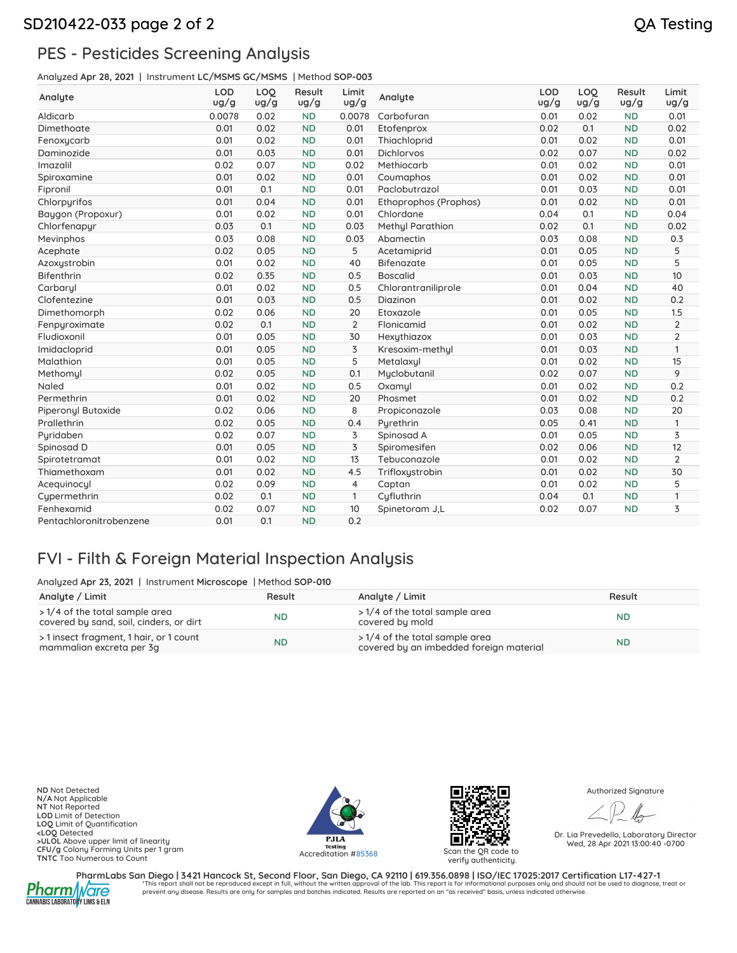## SD210422-033 page 2 of 2 QA Testing

# PES - Pesticides Screening Analysis

Analyzed **Apr 28, 2021** | Instrument **LC/MSMS GC/MSMS** | Method **SOP-003**

| Analyte                 | <b>LOD</b><br>ug/g | LOQ<br>ug/g | Result<br>ug/g | Limit<br>ug/g  | Analyte                 | <b>LOD</b><br>ug/g | LOO<br>ug/g | Result<br>ug/g | Limit<br>ug/g  |
|-------------------------|--------------------|-------------|----------------|----------------|-------------------------|--------------------|-------------|----------------|----------------|
| Aldicarb                | 0.0078             | 0.02        | <b>ND</b>      | 0.0078         | Carbofuran              | 0.01               | 0.02        | <b>ND</b>      | 0.01           |
| Dimethoate              | 0.01               | 0.02        | <b>ND</b>      | 0.01           | Etofenprox              | 0.02               | 0.1         | <b>ND</b>      | 0.02           |
| Fenoxycarb              | 0.01               | 0.02        | <b>ND</b>      | 0.01           | Thiachloprid            | 0.01               | 0.02        | <b>ND</b>      | 0.01           |
| Daminozide              | 0.01               | 0.03        | <b>ND</b>      | 0.01           | <b>Dichlorvos</b>       | 0.02               | 0.07        | <b>ND</b>      | 0.02           |
| Imazalil                | 0.02               | 0.07        | <b>ND</b>      | 0.02           | Methiocarb              | 0.01               | 0.02        | <b>ND</b>      | 0.01           |
| Spiroxamine             | 0.01               | 0.02        | <b>ND</b>      | 0.01           | Coumaphos               | 0.01               | 0.02        | <b>ND</b>      | 0.01           |
| Fipronil                | 0.01               | 0.1         | <b>ND</b>      | 0.01           | Paclobutrazol           | 0.01               | 0.03        | <b>ND</b>      | 0.01           |
| Chlorpyrifos            | 0.01               | 0.04        | <b>ND</b>      | 0.01           | Ethoprophos (Prophos)   | 0.01               | 0.02        | <b>ND</b>      | 0.01           |
| Baygon (Propoxur)       | 0.01               | 0.02        | <b>ND</b>      | 0.01           | Chlordane               | 0.04               | 0.1         | <b>ND</b>      | 0.04           |
| Chlorfenapyr            | 0.03               | 0.1         | <b>ND</b>      | 0.03           | <b>Methyl Parathion</b> | 0.02               | 0.1         | <b>ND</b>      | 0.02           |
| Mevinphos               | 0.03               | 0.08        | <b>ND</b>      | 0.03           | Abamectin               | 0.03               | 0.08        | <b>ND</b>      | 0.3            |
| Acephate                | 0.02               | 0.05        | <b>ND</b>      | 5              | Acetamiprid             | 0.01               | 0.05        | <b>ND</b>      | 5              |
| Azoxustrobin            | 0.01               | 0.02        | <b>ND</b>      | 40             | <b>Bifenazate</b>       | 0.01               | 0.05        | <b>ND</b>      | 5              |
| Bifenthrin              | 0.02               | 0.35        | <b>ND</b>      | 0.5            | <b>Boscalid</b>         | 0.01               | 0.03        | <b>ND</b>      | 10             |
| Carbaryl                | 0.01               | 0.02        | <b>ND</b>      | 0.5            | Chlorantraniliprole     | 0.01               | 0.04        | <b>ND</b>      | 40             |
| Clofentezine            | 0.01               | 0.03        | <b>ND</b>      | 0.5            | Diazinon                | 0.01               | 0.02        | <b>ND</b>      | 0.2            |
| Dimethomorph            | 0.02               | 0.06        | <b>ND</b>      | 20             | Etoxazole               | 0.01               | 0.05        | <b>ND</b>      | 1.5            |
| Fenpyroximate           | 0.02               | 0.1         | <b>ND</b>      | $\overline{2}$ | Flonicamid              | 0.01               | 0.02        | <b>ND</b>      | $\overline{2}$ |
| Fludioxonil             | 0.01               | 0.05        | <b>ND</b>      | 30             | Hexythiazox             | 0.01               | 0.03        | <b>ND</b>      | $\overline{2}$ |
| Imidacloprid            | 0.01               | 0.05        | <b>ND</b>      | 3              | Kresoxim-methul         | 0.01               | 0.03        | <b>ND</b>      | 1              |
| Malathion               | 0.01               | 0.05        | <b>ND</b>      | 5              | Metalaxyl               | 0.01               | 0.02        | <b>ND</b>      | 15             |
| Methomyl                | 0.02               | 0.05        | <b>ND</b>      | 0.1            | Myclobutanil            | 0.02               | 0.07        | <b>ND</b>      | 9              |
| Naled                   | 0.01               | 0.02        | <b>ND</b>      | 0.5            | Oxamyl                  | 0.01               | 0.02        | <b>ND</b>      | 0.2            |
| Permethrin              | 0.01               | 0.02        | <b>ND</b>      | 20             | Phosmet                 | 0.01               | 0.02        | <b>ND</b>      | 0.2            |
| Piperonyl Butoxide      | 0.02               | 0.06        | <b>ND</b>      | 8              | Propiconazole           | 0.03               | 0.08        | <b>ND</b>      | 20             |
| Prallethrin             | 0.02               | 0.05        | <b>ND</b>      | 0.4            | Pyrethrin               | 0.05               | 0.41        | <b>ND</b>      | 1              |
| Puridaben               | 0.02               | 0.07        | <b>ND</b>      | 3              | Spinosad A              | 0.01               | 0.05        | <b>ND</b>      | 3              |
| Spinosad D              | 0.01               | 0.05        | <b>ND</b>      | 3              | Spiromesifen            | 0.02               | 0.06        | <b>ND</b>      | 12             |
| Spirotetramat           | 0.01               | 0.02        | <b>ND</b>      | 13             | Tebuconazole            | 0.01               | 0.02        | <b>ND</b>      | $\overline{2}$ |
| Thiamethoxam            | 0.01               | 0.02        | <b>ND</b>      | 4.5            | Trifloxystrobin         | 0.01               | 0.02        | <b>ND</b>      | 30             |
| Acequinocyl             | 0.02               | 0.09        | <b>ND</b>      | 4              | Captan                  | 0.01               | 0.02        | <b>ND</b>      | 5              |
| Cypermethrin            | 0.02               | 0.1         | <b>ND</b>      | $\mathbf{1}$   | Cyfluthrin              | 0.04               | 0.1         | <b>ND</b>      | 1              |
| Fenhexamid              | 0.02               | 0.07        | <b>ND</b>      | 10             | Spinetoram J.L          | 0.02               | 0.07        | <b>ND</b>      | 3              |
| Pentachloronitrobenzene | 0.01               | 0.1         | <b>ND</b>      | 0.2            |                         |                    |             |                |                |

# FVI - Filth & Foreign Material Inspection Analysis

### Analyzed **Apr 23, 2021** | Instrument **Microscope** | Method **SOP-010**

| Analyte / Limit                                                          | Result    | Analyte / Limit                                                          | Result    |
|--------------------------------------------------------------------------|-----------|--------------------------------------------------------------------------|-----------|
| >1/4 of the total sample area<br>covered by sand, soil, cinders, or dirt | <b>ND</b> | >1/4 of the total sample area<br>covered by mold                         | <b>ND</b> |
| >1 insect fragment, 1 hair, or 1 count<br>mammalian excreta per 3g       | <b>ND</b> | >1/4 of the total sample area<br>covered by an imbedded foreign material | <b>ND</b> |

**ND** Not Detected **N/A** Not Applicable **NT** Not Reported **LOD** Limit of Detection **LOQ** Limit of Quantification **<LOQ** Detected **>ULOL** Above upper limit of linearity **CFU/g** Colony Forming Units per 1 gram **TNTC** Too Numerous to Count





verify authenticity.

Authorized Signature

Dr. Lia Prevedello, Laboratory Director Wed, 28 Apr 2021 13:00:40 -0700



PharmLabs San Diego | 3421 Hancock St, Second Floor, San Diego, CA 92110 | 619.356.0898 | ISO/IEC 17025:2017 Certification L17-427-1<br>1. A hall this report shall not be reproduced except in full, without the written approva prevent any disease. Results are only for samples and batches indicated. Results are reported on an "as received" basis, unless indicated otherwise.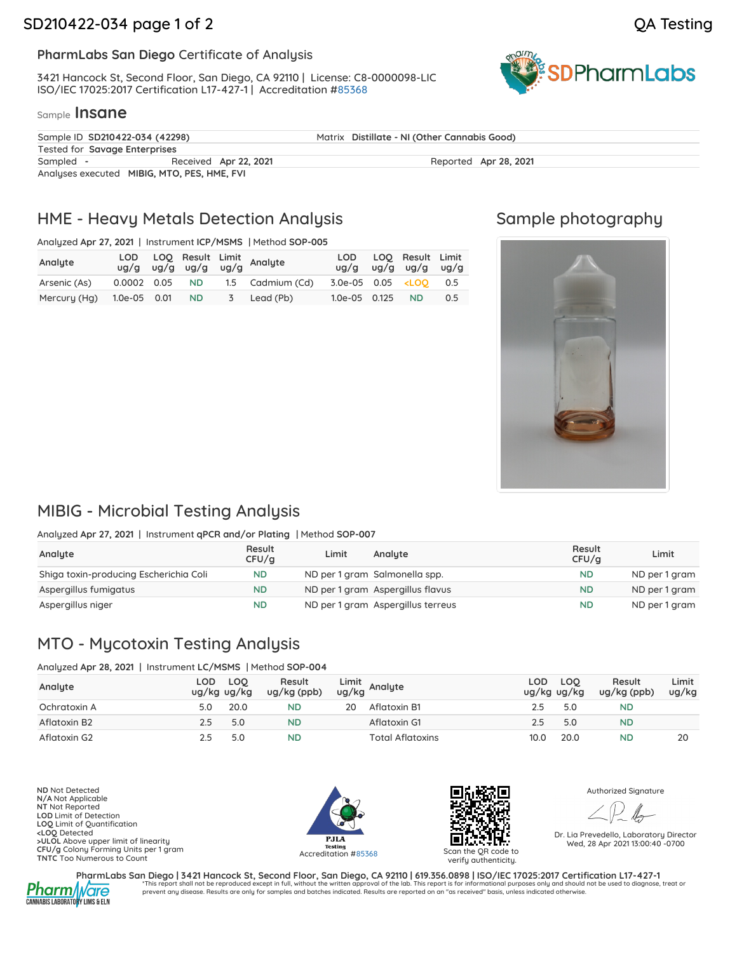**SDPharmLabs** 

### **PharmLabs San Diego** Certificate of Analysis

3421 Hancock St, Second Floor, San Diego, CA 92110 | License: C8-0000098-LIC ISO/IEC 17025:2017 Certification L17-427-1 | Accreditation [#85368](https://www.dropbox.com/s/1a5w6sneiswem52/L20-89-1%20PharmLabs%20San%20Diego.pdf?dl=0)

### Sample **Insane**

| JUINIU ITTU <b>utitu</b> |                                             |                                              |
|--------------------------|---------------------------------------------|----------------------------------------------|
|                          | Sample ID SD210422-034 (42298)              | Matrix Distillate - NI (Other Cannabis Good) |
|                          | Tested for Savage Enterprises               |                                              |
| Sampled -                | Received Apr 22, 2021                       | Reported Apr 28, 2021                        |
|                          | Analyses executed MIBIG, MTO, PES, HME, FVI |                                              |

## HME - Heavy Metals Detection Analysis

Analyzed **Apr 27, 2021** | Instrument **ICP/MSMS** | Method **SOP-005**

| Analyte                                  |  |  | LOD LOQ Result Limit<br>ug/g ug/g ug/g ug/g Analyte                                               |                    | LOD LOO Result Limit<br>ug/g ug/g ug/g ug/g |     |
|------------------------------------------|--|--|---------------------------------------------------------------------------------------------------|--------------------|---------------------------------------------|-----|
| Arsenic (As)                             |  |  | 0.0002 0.05 ND 1.5 Cadmium (Cd) 3.0e-05 0.05 <loo 0.5<="" td=""><td></td><td></td><td></td></loo> |                    |                                             |     |
| Mercury (Hg) 1.0e-05 0.01 ND 3 Lead (Pb) |  |  |                                                                                                   | 1.0e-05  0.125  ND |                                             | 0.5 |

# Sample photography



# MIBIG - Microbial Testing Analysis

Analyzed **Apr 27, 2021** | Instrument **qPCR and/or Plating** | Method **SOP-007**

| Analyte                                | Result<br>CFU/q | Limit | Analyte                           | Result<br>CFU/q | Limit         |
|----------------------------------------|-----------------|-------|-----------------------------------|-----------------|---------------|
| Shiga toxin-producing Escherichia Coli | <b>ND</b>       |       | ND per 1 gram Salmonella spp.     | <b>ND</b>       | ND per 1 gram |
| Aspergillus fumigatus                  | <b>ND</b>       |       | ND per 1 gram Aspergillus flavus  | <b>ND</b>       | ND per 1 gram |
| Aspergillus niger                      | <b>ND</b>       |       | ND per 1 gram Aspergillus terreus | <b>ND</b>       | ND per 1 gram |

# MTO - Mycotoxin Testing Analysis

Analyzed **Apr 28, 2021** | Instrument **LC/MSMS** | Method **SOP-004**

| Analyte      | LOD<br>ug/kg ug/kg | LOO  | Result<br>$\log/kg$ (ppb) |    | Limit<br>ug/kg Analyte | LOD<br>ug/kg ug/kg | <b>LOO</b> | Result<br>ug/kg (ppb) | Limit<br>ug/kg |
|--------------|--------------------|------|---------------------------|----|------------------------|--------------------|------------|-----------------------|----------------|
| Ochratoxin A |                    | 20.0 | ND                        | 20 | Aflatoxin B1           | 2.5                | 5.0        | <b>ND</b>             |                |
| Aflatoxin B2 |                    | 5.0  | <b>ND</b>                 |    | Aflatoxin G1           | 2.5                | 5.0        | <b>ND</b>             |                |
| Aflatoxin G2 |                    | 5.0  | ND                        |    | Total Aflatoxins       | 10.0               | 20.0       | <b>ND</b>             | 20             |

**ND** Not Detected **N/A** Not Applicable **NT** Not Reported **LOD** Limit of Detection **LOQ** Limit of Quantification **<LOQ** Detected **>ULOL** Above upper limit of linearity **CFU/g** Colony Forming Units per 1 gram **TNTC** Too Numerous to Count





verify authenticity.

Authorized Signature

Dr. Lia Prevedello, Laboratory Director Wed, 28 Apr 2021 13:00:40 -0700



PharmLabs San Diego | 3421 Hancock St, Second Floor, San Diego, CA 92110 | 619.356.0898 | ISO/IEC 17025:2017 Certification L17-427-1 \*This report shall not be reproduced except in full, without the written approval of the lab. This report is for informational purposes only and should not be used to diagnose, treat or prevent any disease. Results are only for samples and batches indicated. Results are reported on an "as received" basis, unless indicated otherwise.